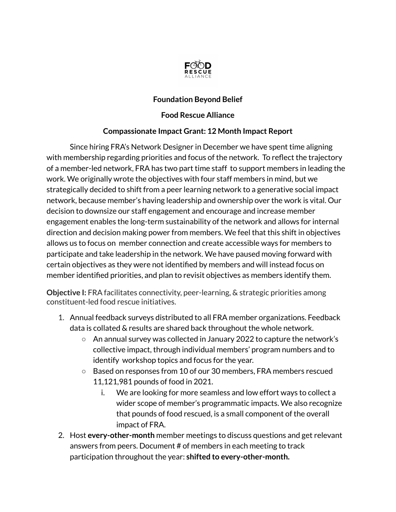

## **Foundation Beyond Belief**

## **Food Rescue Alliance**

## **Compassionate Impact Grant: 12 Month Impact Report**

Since hiring FRA's Network Designer in December we have spent time aligning with membership regarding priorities and focus of the network. To reflect the trajectory of a member-led network, FRA has two part time staff to support members in leading the work. We originally wrote the objectives with four staff members in mind, but we strategically decided to shift from a peer learning network to a generative social impact network, because member's having leadership and ownership over the work is vital. Our decision to downsize our staff engagement and encourage and increase member engagement enables the long-term sustainability of the network and allows for internal direction and decision making power from members. We feel that this shift in objectives allows us to focus on member connection and create accessible ways for members to participate and take leadership in the network. We have paused moving forward with certain objectives as they were not identified by members and will instead focus on member identified priorities, and plan to revisit objectives as members identify them.

**Objective I:** FRA facilitates connectivity, peer-learning, & strategic priorities among constituent-led food rescue initiatives.

- 1. Annual feedback surveys distributed to all FRA member organizations. Feedback data is collated & results are shared back throughout the whole network.
	- An annual survey was collected in January 2022 to capture the network's collective impact, through individual members' program numbers and to identify workshop topics and focus for the year.
	- Based on responses from 10 of our 30 members, FRA members rescued 11,121,981 pounds of food in 2021.
		- i. We are looking for more seamless and low effort ways to collect a wider scope of member's programmatic impacts. We also recognize that pounds of food rescued, is a small component of the overall impact of FRA.
- 2. Host **every-other-month** member meetings to discuss questions and get relevant answers from peers. Document # of members in each meeting to track participation throughout the year: **shifted to every-other-month.**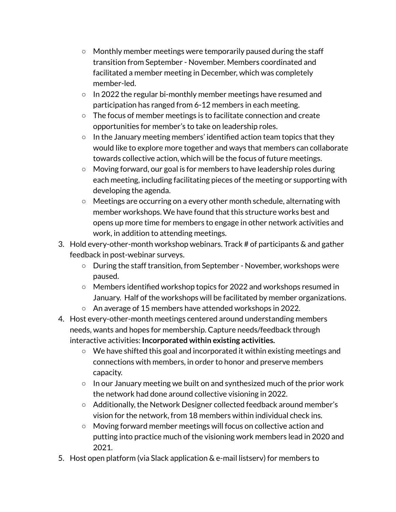- Monthly member meetings were temporarily paused during the staff transition from September - November. Members coordinated and facilitated a member meeting in December, which was completely member-led.
- In 2022 the regular bi-monthly member meetings have resumed and participation has ranged from 6-12 members in each meeting.
- The focus of member meetings is to facilitate connection and create opportunities for member's to take on leadership roles.
- $\circ$  In the January meeting members' identified action team topics that they would like to explore more together and ways that members can collaborate towards collective action, which will be the focus of future meetings.
- Moving forward, our goal is for members to have leadership roles during each meeting, including facilitating pieces of the meeting or supporting with developing the agenda.
- Meetings are occurring on a every other month schedule, alternating with member workshops. We have found that this structure works best and opens up more time for members to engage in other network activities and work, in addition to attending meetings.
- 3. Hold every-other-month workshop webinars. Track # of participants & and gather feedback in post-webinar surveys.
	- During the staff transition, from September November, workshops were paused.
	- Members identified workshop topics for 2022 and workshops resumed in January. Half of the workshops will be facilitated by member organizations.
	- An average of 15 members have attended workshops in 2022.
- 4. Host every-other-month meetings centered around understanding members needs, wants and hopes for membership. Capture needs/feedback through interactive activities: **Incorporated within existing activities.**
	- We have shifted this goal and incorporated it within existing meetings and connections with members, in order to honor and preserve members capacity.
	- In our January meeting we built on and synthesized much of the prior work the network had done around collective visioning in 2022.
	- Additionally, the Network Designer collected feedback around member's vision for the network, from 18 members within individual check ins.
	- Moving forward member meetings will focus on collective action and putting into practice much of the visioning work members lead in 2020 and 2021.
- 5. Host open platform (via Slack application & e-mail listserv) for members to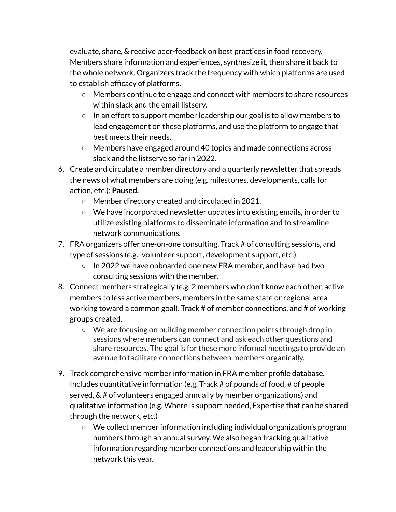evaluate, share, & receive peer-feedback on best practices in food recovery. Members share information and experiences, synthesize it, then share it back to the whole network. Organizers track the frequency with which platforms are used to establish efficacy of platforms.

- Members continue to engage and connect with members to share resources within slack and the email listserv.
- $\circ$  In an effort to support member leadership our goal is to allow members to lead engagement on these platforms, and use the platform to engage that best meets their needs.
- Members have engaged around 40 topics and made connections across slack and the listserve so far in 2022.
- 6. Create and circulate a member directory and a quarterly newsletter that spreads the news of what members are doing (e.g. milestones, developments, calls for action, etc.): **Paused.**
	- Member directory created and circulated in 2021.
	- $\circ$  We have incorporated newsletter updates into existing emails, in order to utilize existing platforms to disseminate information and to streamline network communications.
- 7. FRA organizers offer one-on-one consulting. Track # of consulting sessions, and type of sessions (e.g.- volunteer support, development support, etc.).
	- $\circ$  In 2022 we have onboarded one new FRA member, and have had two consulting sessions with the member.
- 8. Connect members strategically (e.g. 2 members who don't know each other, active members to less active members, members in the same state or regional area working toward a common goal). Track # of member connections, and # of working groups created.
	- We are focusing on building member connection points through drop in sessions where members can connect and ask each other questions and share resources. The goal is for these more informal meetings to provide an avenue to facilitate connections between members organically.
- 9. Track comprehensive member information in FRA member profile database. Includes quantitative information (e.g. Track # of pounds of food, # of people served, & # of volunteers engaged annually by member organizations) and qualitative information (e.g. Where is support needed, Expertise that can be shared through the network, etc.)
	- $\circ$  We collect member information including individual organization's program numbers through an annual survey. We also began tracking qualitative information regarding member connections and leadership within the network this year.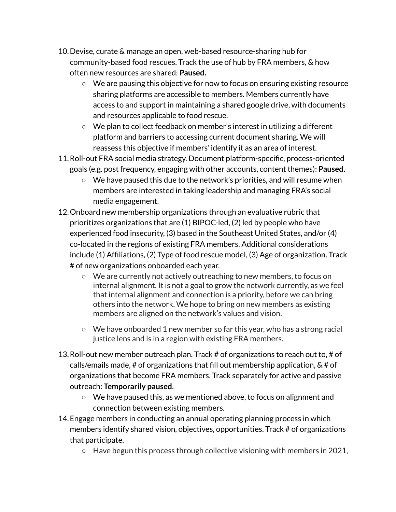- 10.Devise, curate & manage an open, web-based resource-sharing hub for community-based food rescues. Track the use of hub by FRA members, & how often new resources are shared: **Paused.**
	- We are pausing this objective for now to focus on ensuring existing resource sharing platforms are accessible to members. Members currently have access to and support in maintaining a shared google drive, with documents and resources applicable to food rescue.
	- We plan to collect feedback on member's interest in utilizing a different platform and barriers to accessing current document sharing. We will reassess this objective if members' identify it as an area of interest.
- 11.Roll-out FRA social media strategy. Document platform-specific, process-oriented goals (e.g. post frequency, engaging with other accounts, content themes): **Paused.**
	- $\circ$  We have paused this due to the network's priorities, and will resume when members are interested in taking leadership and managing FRA's social media engagement.
- 12.Onboard new membership organizations through an evaluative rubric that prioritizes organizations that are (1) BIPOC-led, (2) led by people who have experienced food insecurity, (3) based in the Southeast United States, and/or (4) co-located in the regions of existing FRA members. Additional considerations include (1) Affiliations, (2) Type of food rescue model, (3) Age of organization. Track # of new organizations onboarded each year.
	- $\circ$  We are currently not actively outreaching to new members, to focus on internal alignment. It is not a goal to grow the network currently, as we feel that internal alignment and connection is a priority, before we can bring others into the network. We hope to bring on new members as existing members are aligned on the network's values and vision.
	- $\circ$  We have onboarded 1 new member so far this year, who has a strong racial justice lens and is in a region with existing FRA members.
- 13.Roll-out new member outreach plan. Track # of organizations to reach out to, # of calls/emails made, # of organizations that fill out membership application, & # of organizations that become FRA members. Track separately for active and passive outreach: **Temporarily paused**.
	- $\circ$  We have paused this, as we mentioned above, to focus on alignment and connection between existing members.
- 14.Engage members in conducting an annual operating planning process in which members identify shared vision, objectives, opportunities. Track # of organizations that participate.
	- Have begun this process through collective visioning with members in 2021,